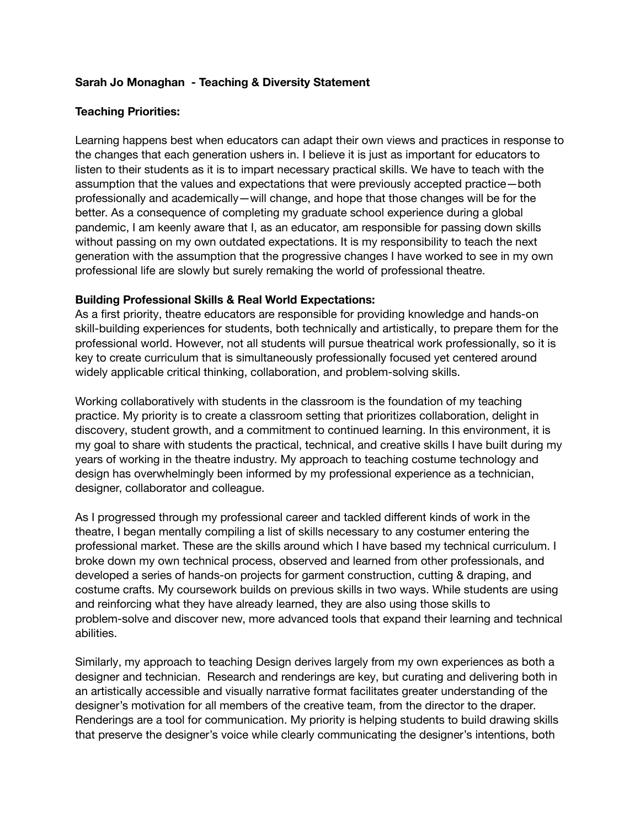#### **Sarah Jo Monaghan - Teaching & Diversity Statement**

#### **Teaching Priorities:**

Learning happens best when educators can adapt their own views and practices in response to the changes that each generation ushers in. I believe it is just as important for educators to listen to their students as it is to impart necessary practical skills. We have to teach with the assumption that the values and expectations that were previously accepted practice - both professionally and academically—will change, and hope that those changes will be for the better. As a consequence of completing my graduate school experience during a global pandemic, I am keenly aware that I, as an educator, am responsible for passing down skills without passing on my own outdated expectations. It is my responsibility to teach the next generation with the assumption that the progressive changes I have worked to see in my own professional life are slowly but surely remaking the world of professional theatre.

#### **Building Professional Skills & Real World Expectations:**

As a first priority, theatre educators are responsible for providing knowledge and hands-on skill-building experiences for students, both technically and artistically, to prepare them for the professional world. However, not all students will pursue theatrical work professionally, so it is key to create curriculum that is simultaneously professionally focused yet centered around widely applicable critical thinking, collaboration, and problem-solving skills.

Working collaboratively with students in the classroom is the foundation of my teaching practice. My priority is to create a classroom setting that prioritizes collaboration, delight in discovery, student growth, and a commitment to continued learning. In this environment, it is my goal to share with students the practical, technical, and creative skills I have built during my years of working in the theatre industry. My approach to teaching costume technology and design has overwhelmingly been informed by my professional experience as a technician, designer, collaborator and colleague.

As I progressed through my professional career and tackled different kinds of work in the theatre, I began mentally compiling a list of skills necessary to any costumer entering the professional market. These are the skills around which I have based my technical curriculum. I broke down my own technical process, observed and learned from other professionals, and developed a series of hands-on projects for garment construction, cutting & draping, and costume crafts. My coursework builds on previous skills in two ways. While students are using and reinforcing what they have already learned, they are also using those skills to problem-solve and discover new, more advanced tools that expand their learning and technical abilities.

Similarly, my approach to teaching Design derives largely from my own experiences as both a designer and technician. Research and renderings are key, but curating and delivering both in an artistically accessible and visually narrative format facilitates greater understanding of the designer's motivation for all members of the creative team, from the director to the draper. Renderings are a tool for communication. My priority is helping students to build drawing skills that preserve the designer's voice while clearly communicating the designer's intentions, both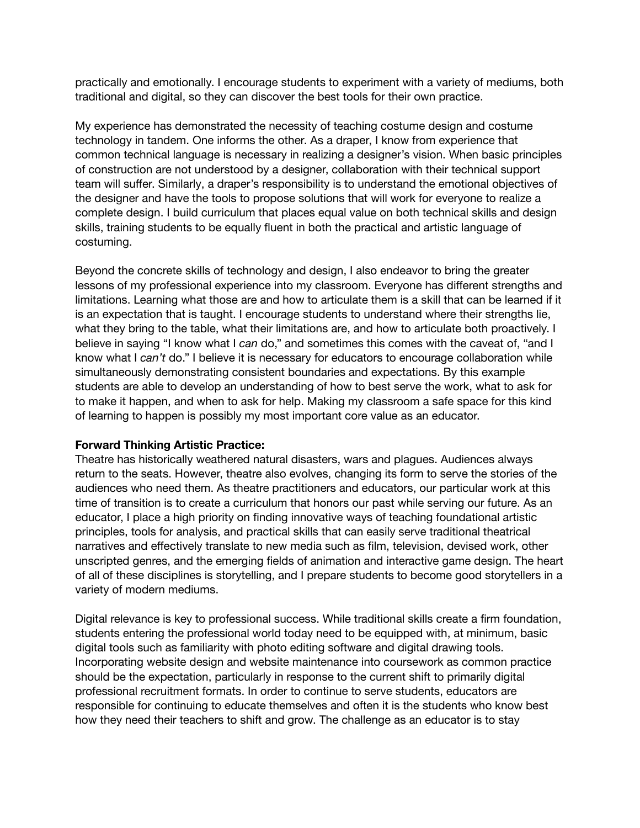practically and emotionally. I encourage students to experiment with a variety of mediums, both traditional and digital, so they can discover the best tools for their own practice.

My experience has demonstrated the necessity of teaching costume design and costume technology in tandem. One informs the other. As a draper, I know from experience that common technical language is necessary in realizing a designer's vision. When basic principles of construction are not understood by a designer, collaboration with their technical support team will suffer. Similarly, a draper's responsibility is to understand the emotional objectives of the designer and have the tools to propose solutions that will work for everyone to realize a complete design. I build curriculum that places equal value on both technical skills and design skills, training students to be equally fluent in both the practical and artistic language of costuming.

Beyond the concrete skills of technology and design, I also endeavor to bring the greater lessons of my professional experience into my classroom. Everyone has different strengths and limitations. Learning what those are and how to articulate them is a skill that can be learned if it is an expectation that is taught. I encourage students to understand where their strengths lie, what they bring to the table, what their limitations are, and how to articulate both proactively. I believe in saying "I know what I can do," and sometimes this comes with the caveat of, "and I know what I *can't* do." I believe it is necessary for educators to encourage collaboration while simultaneously demonstrating consistent boundaries and expectations. By this example students are able to develop an understanding of how to best serve the work, what to ask for to make it happen, and when to ask for help. Making my classroom a safe space for this kind of learning to happen is possibly my most important core value as an educator.

#### **Forward Thinking Artistic Practice:**

Theatre has historically weathered natural disasters, wars and plagues. Audiences always return to the seats. However, theatre also evolves, changing its form to serve the stories of the audiences who need them. As theatre practitioners and educators, our particular work at this time of transition is to create a curriculum that honors our past while serving our future. As an educator, I place a high priority on finding innovative ways of teaching foundational artistic principles, tools for analysis, and practical skills that can easily serve traditional theatrical narratives and effectively translate to new media such as film, television, devised work, other unscripted genres, and the emerging fields of animation and interactive game design. The heart of all of these disciplines is storytelling, and I prepare students to become good storytellers in a variety of modern mediums.

Digital relevance is key to professional success. While traditional skills create a firm foundation, students entering the professional world today need to be equipped with, at minimum, basic digital tools such as familiarity with photo editing software and digital drawing tools. Incorporating website design and website maintenance into coursework as common practice should be the expectation, particularly in response to the current shift to primarily digital professional recruitment formats. In order to continue to serve students, educators are responsible for continuing to educate themselves and often it is the students who know best how they need their teachers to shift and grow. The challenge as an educator is to stay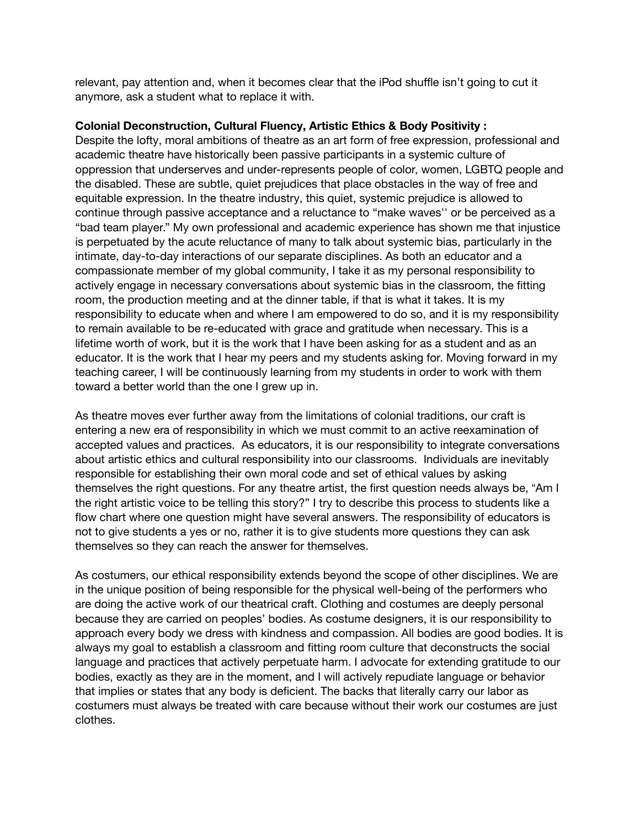relevant, pay attention and, when it becomes clear that the iPod shuffle isn't going to cut it anymore, ask a student what to replace it with.

#### **Colonial Deconstruction, Cultural Fluency, Artistic Ethics & Body Positivity:**

Despite the lofty, moral ambitions of theatre as an art form of free expression, professional and academic theatre have historically been passive participants in a systemic culture of oppression that underserves and under-represents people of color, women, LGBTQ people and the disabled. These are subtle, quiet prejudices that place obstacles in the way of free and equitable expression. In the theatre industry, this quiet, systemic prejudice is allowed to continue through passive acceptance and a reluctance to "make waves" or be perceived as a "bad team player." My own professional and academic experience has shown me that injustice is perpetuated by the acute reluctance of many to talk about systemic bias, particularly in the intimate, day-to-day interactions of our separate disciplines. As both an educator and a compassionate member of my global community, I take it as my personal responsibility to actively engage in necessary conversations about systemic bias in the classroom, the fitting room, the production meeting and at the dinner table, if that is what it takes. It is my responsibility to educate when and where I am empowered to do so, and it is my responsibility to remain available to be re-educated with grace and gratitude when necessary. This is a lifetime worth of work, but it is the work that I have been asking for as a student and as an educator. It is the work that I hear my peers and my students asking for. Moving forward in my teaching career, I will be continuously learning from my students in order to work with them toward a better world than the one I grew up in.

As theatre moves ever further away from the limitations of colonial traditions, our craft is entering a new era of responsibility in which we must commit to an active reexamination of accepted values and practices. As educators, it is our responsibility to integrate conversations about artistic ethics and cultural responsibility into our classrooms. Individuals are inevitably responsible for establishing their own moral code and set of ethical values by asking themselves the right questions. For any theatre artist, the first question needs always be, "Am I the right artistic voice to be telling this story?" I try to describe this process to students like a flow chart where one question might have several answers. The responsibility of educators is not to give students a yes or no, rather it is to give students more questions they can ask themselves so they can reach the answer for themselves.

As costumers, our ethical responsibility extends beyond the scope of other disciplines. We are in the unique position of being responsible for the physical well-being of the performers who are doing the active work of our theatrical craft. Clothing and costumes are deeply personal because they are carried on peoples' bodies. As costume designers, it is our responsibility to approach every body we dress with kindness and compassion. All bodies are good bodies. It is always my goal to establish a classroom and fitting room culture that deconstructs the social language and practices that actively perpetuate harm. I advocate for extending gratitude to our bodies, exactly as they are in the moment, and I will actively repudiate language or behavior that implies or states that any body is deficient. The backs that literally carry our labor as costumers must always be treated with care because without their work our costumes are just clothes.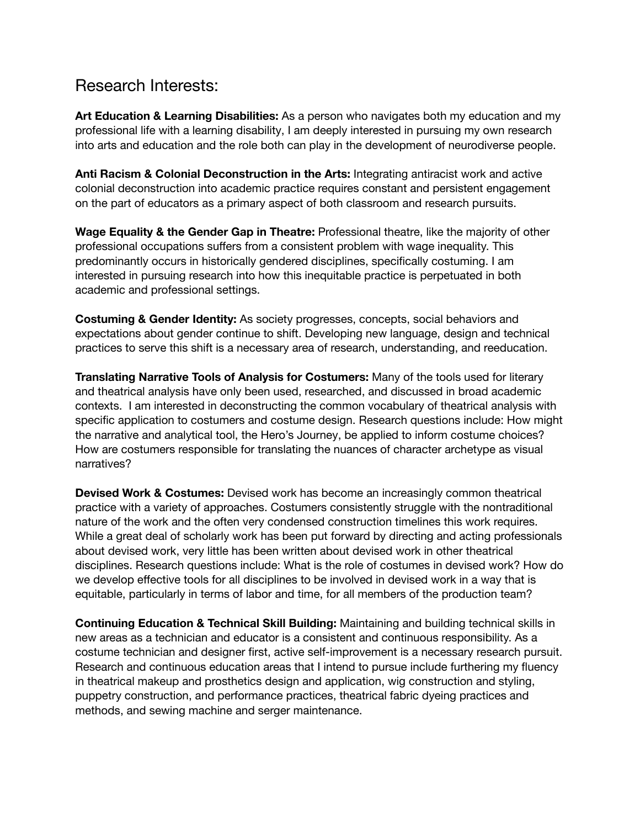### Research Interests:

**Art Education & Learning Disabilities:** As a person who navigates both my education and my professional life with a learning disability, I am deeply interested in pursuing my own research into arts and education and the role both can play in the development of neurodiverse people.

**Anti Racism & Colonial Deconstruction in the Arts: Integrating antiracist work and active** colonial deconstruction into academic practice requires constant and persistent engagement on the part of educators as a primary aspect of both classroom and research pursuits.

**Wage Equality & the Gender Gap in Theatre:** Professional theatre, like the majority of other professional occupations suffers from a consistent problem with wage inequality. This predominantly occurs in historically gendered disciplines, specifically costuming. I am interested in pursuing research into how this inequitable practice is perpetuated in both academic and professional settings.

**Costuming & Gender Identity:** As society progresses, concepts, social behaviors and expectations about gender continue to shift. Developing new language, design and technical practices to serve this shift is a necessary area of research, understanding, and reeducation.

**Translating Narrative Tools of Analysis for Costumers: Many of the tools used for literary** and theatrical analysis have only been used, researched, and discussed in broad academic contexts. I am interested in deconstructing the common vocabulary of theatrical analysis with specific application to costumers and costume design. Research questions include: How might the narrative and analytical tool, the Hero's Journey, be applied to inform costume choices? How are costumers responsible for translating the nuances of character archetype as visual narratives?

**Devised Work & Costumes:** Devised work has become an increasingly common theatrical practice with a variety of approaches. Costumers consistently struggle with the nontraditional nature of the work and the often very condensed construction timelines this work requires. While a great deal of scholarly work has been put forward by directing and acting professionals about devised work, very little has been written about devised work in other theatrical disciplines. Research questions include: What is the role of costumes in devised work? How do we develop effective tools for all disciplines to be involved in devised work in a way that is equitable, particularly in terms of labor and time, for all members of the production team?

**Continuing Education & Technical Skill Building:** Maintaining and building technical skills in new areas as a technician and educator is a consistent and continuous responsibility. As a costume technician and designer first, active self-improvement is a necessary research pursuit. Research and continuous education areas that I intend to pursue include furthering my fluency in theatrical makeup and prosthetics design and application, wig construction and styling, puppetry construction, and performance practices, theatrical fabric dyeing practices and methods, and sewing machine and serger maintenance.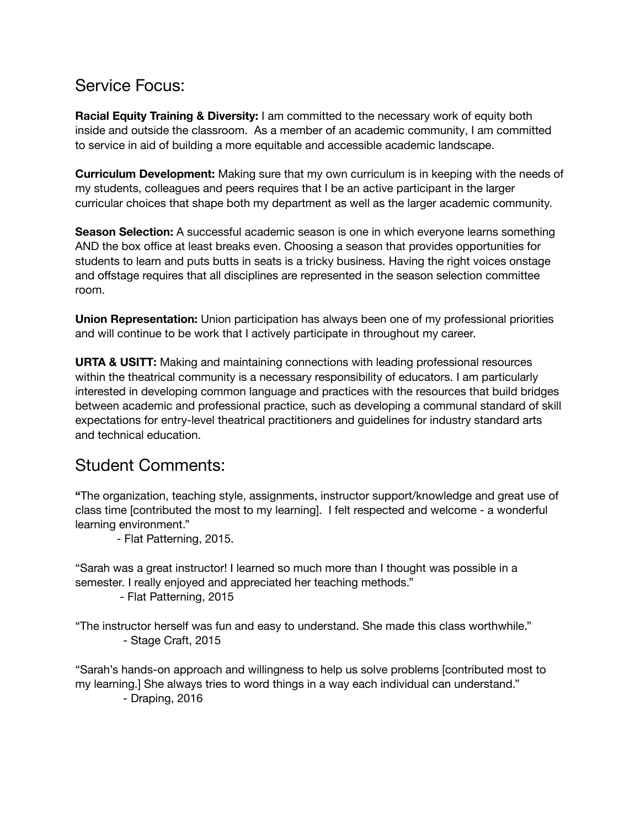# Service Focus:

**Racial Equity Training & Diversity:** I am committed to the necessary work of equity both inside and outside the classroom. As a member of an academic community, I am committed to service in aid of building a more equitable and accessible academic landscape.

**Curriculum Development:** Making sure that my own curriculum is in keeping with the needs of my students, colleagues and peers requires that I be an active participant in the larger curricular choices that shape both my department as well as the larger academic community.

**Season Selection:** A successful academic season is one in which everyone learns something AND the box office at least breaks even. Choosing a season that provides opportunities for students to learn and puts butts in seats is a tricky business. Having the right voices onstage and offstage requires that all disciplines are represented in the season selection committee room.

**Union Representation:** Union participation has always been one of my professional priorities and will continue to be work that I actively participate in throughout my career.

**URTA & USITT:** Making and maintaining connections with leading professional resources within the theatrical community is a necessary responsibility of educators. I am particularly interested in developing common language and practices with the resources that build bridges between academic and professional practice, such as developing a communal standard of skill expectations for entry-level theatrical practitioners and guidelines for industry standard arts and technical education.

## Student Comments:

**ŗ**The organization, teaching style, assignments, instructor support/knowledge and great use of class time [contributed the most to my learning]. I felt respected and welcome - a wonderful learning environment."

- Flat Patterning, 2015.

ŗSarah was a great instructor! I learned so much more than I thought was possible in a semester. I really enjoyed and appreciated her teaching methods."

- Flat Patterning, 2015

"The instructor herself was fun and easy to understand. She made this class worthwhile." - Stage Craft, 2015

"Sarah's hands-on approach and willingness to help us solve problems [contributed most to my learning.] She always tries to word things in a way each individual can understand." - Draping, 2016